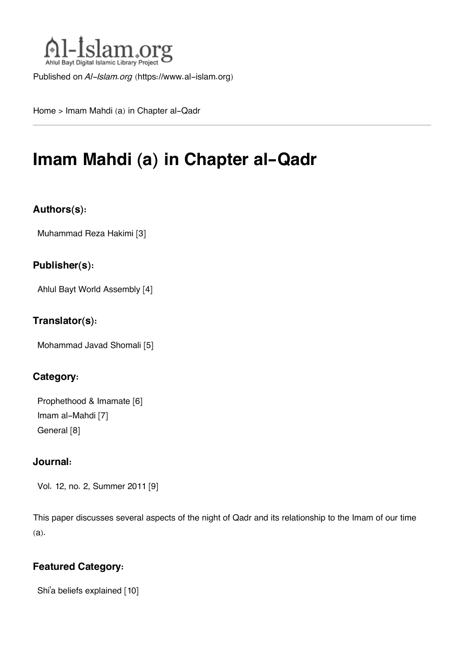

Published on *Al-Islam.org* ([https://www.al-islam.org\)](https://www.al-islam.org)

[Home](https://www.al-islam.org/) > Imam Mahdi (a) in Chapter al-Qadr

# **Imam Mahdi (a) in Chapter al-Qadr**

## **Authors(s):**

[Muhammad Reza Hakimi](https://www.al-islam.org/person/muhammad-reza-hakimi) [3]

### **Publisher(s):**

[Ahlul Bayt World Assembly](https://www.al-islam.org/organization/ahlul-bayt-world-assembly) [4]

### **Translator(s):**

[Mohammad Javad Shomali](https://www.al-islam.org/person/mohammad-javad-shomali) [5]

## **Category:**

[Prophethood & Imamate](https://www.al-islam.org/library/prophethood-imamate) [6] [Imam al-Mahdi](https://www.al-islam.org/library/imam-al-mahdi) [7] [General](https://www.al-islam.org/library/general-quran-hadith) [8]

### **Journal:**

[Vol. 12, no. 2, Summer 2011](https://www.al-islam.org/journals/vol-12-no-2-summer-2011) [9]

This paper discusses several aspects of the night of Qadr and its relationship to the Imam of our time (a).

## **Featured Category:**

Shi['a beliefs explained](https://www.al-islam.org/feature/shia-beliefs-explained) [10]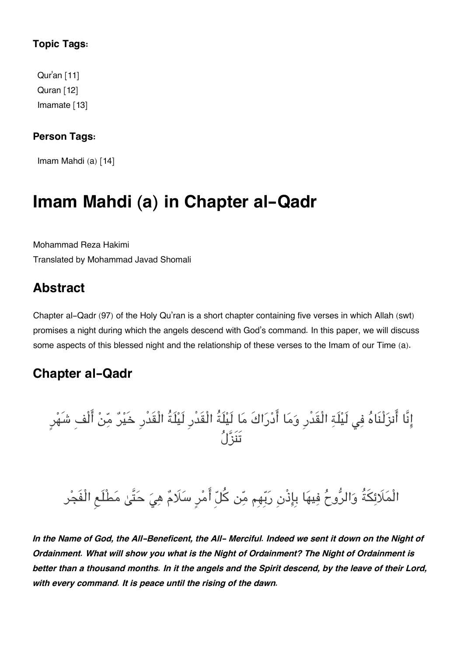## **Topic Tags:**

[Qur](https://www.al-islam.org/tags/quran)'an [11] [Quran](https://www.al-islam.org/tags/quran-0) [12] [Imamate](https://www.al-islam.org/tags/imamate) [13]

## **Person Tags:**

[Imam Mahdi \(a\)](https://www.al-islam.org/person/imam-al-mahdi) [14]

# **Imam Mahdi (a) in Chapter al-Qadr**

Mohammad Reza Hakimi Translated by Mohammad Javad Shomali

# **[Abstract](#page--1-0)**

Chapter al-Qadr (97) of the Holy Qu'ran is a short chapter containing five verses in which Allah (swt) promises a night during which the angels descend with God's command. In this paper, we will discuss some aspects of this blessed night and the relationship of these verses to the Imam of our Time (a).

## **[Chapter al-Qadr](#page--1-0)**

انَّا انزلْنَاه ف لَيلَة الْقَدْرِ وما ادراكَ ما لَيلَةُ الْقَدْرِ لَيلَةُ الْقَدْرِ خَير من الْفِ شَهرٍ تَنَزل

# الْمَلَائِكَةُ وَالرُّوحُ فِيهَا بِإِذْنِ رَبِّهِم مِّن كُلّ أَمْرِ سَلَامٌ هِيَ حَتَّىٰ مَطْلَعِ الْفَجْر

In the Name of God, the All-Beneficent, the All- Merciful. Indeed we sent it down on the Night of *Ordainment. What will show you what is the Night of Ordainment? The Night of Ordainment is* better than a thousand months. In it the angels and the Spirit descend, by the leave of their Lord, *with every command. It is peace until the rising of the dawn.*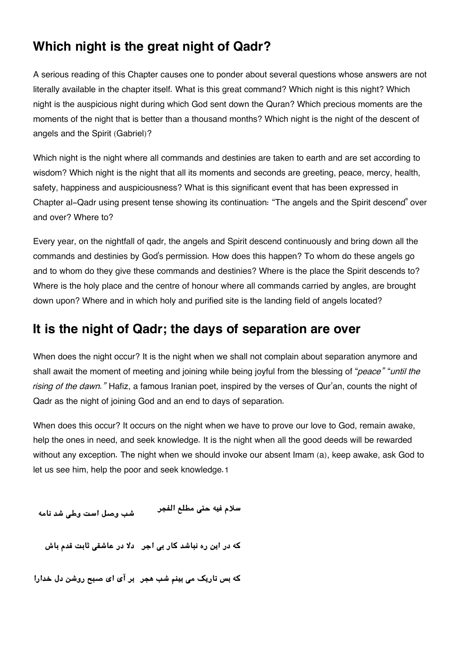# **[Which night is the great night of Qadr?](#page--1-0)**

A serious reading of this Chapter causes one to ponder about several questions whose answers are not literally available in the chapter itself. What is this great command? Which night is this night? Which night is the auspicious night during which God sent down the Quran? Which precious moments are the moments of the night that is better than a thousand months? Which night is the night of the descent of angels and the Spirit (Gabriel)?

Which night is the night where all commands and destinies are taken to earth and are set according to wisdom? Which night is the night that all its moments and seconds are greeting, peace, mercy, health, safety, happiness and auspiciousness? What is this significant event that has been expressed in Chapter al-Qadr using present tense showing its continuation: "The angels and the Spirit descend" over and over? Where to?

Every year, on the nightfall of qadr, the angels and Spirit descend continuously and bring down all the commands and destinies by God's permission. How does this happen? To whom do these angels go and to whom do they give these commands and destinies? Where is the place the Spirit descends to? Where is the holy place and the centre of honour where all commands carried by angles, are brought down upon? Where and in which holy and purified site is the landing field of angels located?

## **[It is the night of Qadr; the days of separation are over](#page--1-0)**

When does the night occur? It is the night when we shall not complain about separation anymore and shall await the moment of meeting and joining while being joyful from the blessing of "*peace"* "*until the rising of the dawn."* Hafiz, a famous Iranian poet, inspired by the verses of Qur'an, counts the night of Qadr as the night of joining God and an end to days of separation.

When does this occur? It occurs on the night when we have to prove our love to God, remain awake, help the ones in need, and seek knowledge. It is the night when all the good deeds will be rewarded without any exception. The night when we should invoke our absent Imam (a), keep awake, ask God to let us see him, help the poor and seek knowledge.[1](#page--1-0)

<span id="page-2-0"></span>**سلام فيه حت مطلع الفجر شب وصل است وط شد نامه**

**که در اين ره نباشد کار ب اجر دلا در عاشق ثابت قدم باش**

**که بس تاري م بينم شب هجر بر آی ای صبح روشن دل خدارا**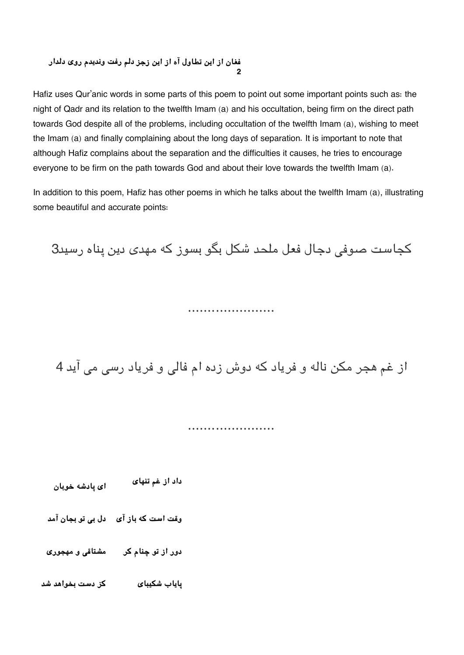#### **فغان از اين تطاول آه از اين زجز دلم رفت ونديدم روی دلدار [2](#page--1-0)**

Hafiz uses Qur'anic words in some parts of this poem to point out some important points such as: the night of Qadr and its relation to the twelfth Imam (a) and his occultation, being firm on the direct path towards God despite all of the problems, including occultation of the twelfth Imam (a), wishing to meet the Imam (a) and finally complaining about the long days of separation. It is important to note that although Hafiz complains about the separation and the difficulties it causes, he tries to encourage everyone to be firm on the path towards God and about their love towards the twelfth Imam (a).

In addition to this poem, Hafiz has other poems in which he talks about the twelfth Imam (a), illustrating some beautiful and accurate points:

کجاست صوفی دجال فعل ملحد شکل بگو بسوز که مهدی دين پناه رسيد3

## ......................

از غم هجر مکن ناله و فرياد که دوش زده ام فالی و فرياد رسی می آيد 4

......................

<span id="page-3-0"></span>**داد از غم تنهای ای پادشه خوبان**

**وقت است که باز آی دل ب تو بجان آمد**

**دور از تو چنام کر مشتاق و مهجوری**

**پاياب شيبای کز دست بخواهد شد**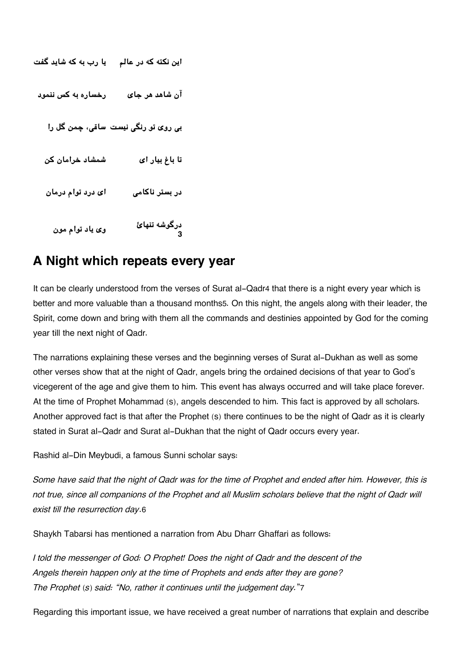```
اين نته که در عالم يا رب به که شايد گفت
آن شاهد هر جای رخساره به کس ننمود
   ب روی تو رن نيست ساق، چمن گل را
  تا باغ بيار اى شمشاد خرامان كن
  در بستر ناكام اى درد توام درمان
     درگوشه تنهائ وى ياد توام مون
3
```
# **[A Night which repeats every year](#page--1-0)**

It can be clearly understood from the verses of Surat al-Qadr[4](#page--1-0) that there is a night every year which is better and more valuable than a thousand months[5](#page--1-0). On this night, the angels along with their leader, the Spirit, come down and bring with them all the commands and destinies appointed by God for the coming year till the next night of Qadr.

The narrations explaining these verses and the beginning verses of Surat al-Dukhan as well as some other verses show that at the night of Qadr, angels bring the ordained decisions of that year to God's vicegerent of the age and give them to him. This event has always occurred and will take place forever. At the time of Prophet Mohammad (s), angels descended to him. This fact is approved by all scholars. Another approved fact is that after the Prophet (s) there continues to be the night of Qadr as it is clearly stated in Surat al-Qadr and Surat al-Dukhan that the night of Qadr occurs every year.

Rashid al-Din Meybudi, a famous Sunni scholar says:

Some have said that the night of Qadr was for the time of Prophet and ended after him. However, this is *not true, since all companions of the Prophet and all Muslim scholars believe that the night of Qadr will exist till the resurrection day*.[6](#page--1-0)

Shaykh Tabarsi has mentioned a narration from Abu Dharr Ghaffari as follows:

*I told the messenger of God: O Prophet! Does the night of Qadr and the descent of the Angels therein happen only at the time of Prophets and ends after they are gone? The Prophet (s) said: "No, rather it continues until the judgement day.*"[7](#page--1-0)

Regarding this important issue, we have received a great number of narrations that explain and describe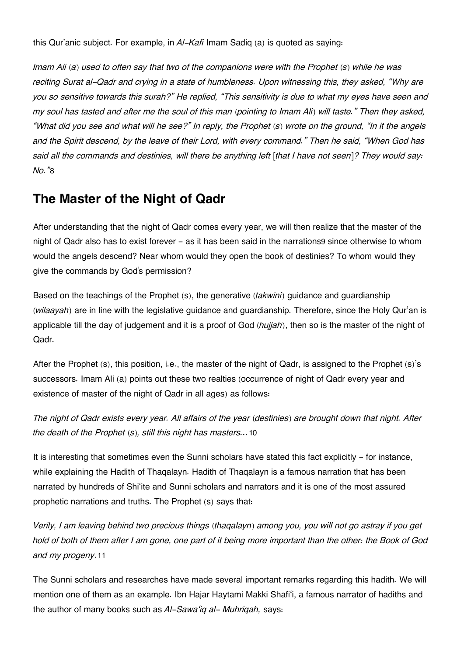this Qur'anic subject. For example, in *Al-Kafi* Imam Sadiq (a) is quoted as saying:

Imam Ali (a) used to often say that two of the companions were with the Prophet (s) while he was *reciting Surat al-Qadr and crying in a state of humbleness. Upon witnessing this, they asked, "Why are* you so sensitive towards this surah?" He replied, "This sensitivity is due to what my eyes have seen and my soul has tasted and after me the soul of this man (pointing to Imam Ali) will taste." Then they asked, "What did you see and what will he see?" In reply, the Prophet (s) wrote on the ground, "In it the angels *and the Spirit descend, by the leave of their Lord, with every command." Then he said, "When God has* said all the commands and destinies, will there be anything left [that I have not seen]? They would say: *No."*[8](#page--1-0)

## **[The Master of the Night of Qadr](#page--1-0)**

After understanding that the night of Qadr comes every year, we will then realize that the master of the night of Qadr also has to exist forever - as it has been said in the narrations[9](#page--1-0) since otherwise to whom would the angels descend? Near whom would they open the book of destinies? To whom would they give the commands by God's permission?

Based on the teachings of the Prophet (s), the generative (*takwini*) guidance and guardianship (*wilaayah*) are in line with the legislative guidance and guardianship. Therefore, since the Holy Qur'an is applicable till the day of judgement and it is a proof of God (*hujjah*), then so is the master of the night of Qadr.

After the Prophet (s), this position, i.e., the master of the night of Qadr, is assigned to the Prophet (s)'s successors. Imam Ali (a) points out these two realties (occurrence of night of Qadr every year and existence of master of the night of Qadr in all ages) as follows:

*The night of Qadr exists every year. All affairs of the year (destinies) are brought down that night. After the death of the Prophet (s), still this night has masters…*[10](#page--1-0)

It is interesting that sometimes even the Sunni scholars have stated this fact explicitly - for instance, while explaining the Hadith of Thaqalayn. Hadith of Thaqalayn is a famous narration that has been narrated by hundreds of Shi'ite and Sunni scholars and narrators and it is one of the most assured prophetic narrations and truths. The Prophet (s) says that:

Verily, I am leaving behind two precious things (thagalayn) among you, you will not go astray if you get *hold of both of them after I am gone, one part of it being more important than the other: the Book of God and my progeny*.[11](#page--1-0)

The Sunni scholars and researches have made several important remarks regarding this hadith. We will mention one of them as an example. Ibn Hajar Haytami Makki Shafi'i, a famous narrator of hadiths and the author of many books such as *Al-Sawa'iq al- Muhriqah,* says: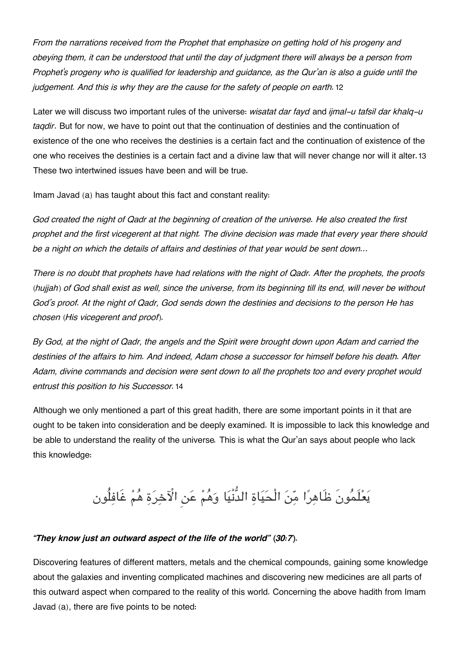*From the narrations received from the Prophet that emphasize on getting hold of his progeny and* obeying them, it can be understood that until the day of judgment there will always be a person from *Prophet's progeny who is qualified for leadership and guidance, as the Qur'an is also a guide until the judgement. And this is why they are the cause for the safety of people on earth.*[12](#page--1-0)

Later we will discuss two important rules of the universe: *wisatat dar fayd* and *ijmal-u tafsil dar khalq-u taqdir*. But for now, we have to point out that the continuation of destinies and the continuation of existence of the one who receives the destinies is a certain fact and the continuation of existence of the one who receives the destinies is a certain fact and a divine law that will never change nor will it alter.[13](#page--1-0) These two intertwined issues have been and will be true.

Imam Javad (a) has taught about this fact and constant reality:

God created the night of Qadr at the beginning of creation of the universe. He also created the first prophet and the first vicegerent at that night. The divine decision was made that every year there should *be a night on which the details of affairs and destinies of that year would be sent down…*

*There is no doubt that prophets have had relations with the night of Qadr. After the prophets, the proofs* (huijah) of God shall exist as well, since the universe, from its beginning till its end, will never be without God's proof. At the night of Qadr, God sends down the destinies and decisions to the person He has *chosen (His vicegerent and proof).*

By God, at the night of Qadr, the angels and the Spirit were brought down upon Adam and carried the *destinies of the affairs to him. And indeed, Adam chose a successor for himself before his death. After Adam, divine commands and decision were sent down to all the prophets too and every prophet would entrust this position to his Successor.*[14](#page--1-0)

Although we only mentioned a part of this great hadith, there are some important points in it that are ought to be taken into consideration and be deeply examined. It is impossible to lack this knowledge and be able to understand the reality of the universe*.* This is what the Qur'an says about people who lack this knowledge:

# يعلَمونَ ظَاهرا من الْحياة الدُّنْيا وهم عن اخرة هم غَافلُون

### *"They know just an outward aspect of the life of the world" (30:7).*

Discovering features of different matters, metals and the chemical compounds, gaining some knowledge about the galaxies and inventing complicated machines and discovering new medicines are all parts of this outward aspect when compared to the reality of this world. Concerning the above hadith from Imam Javad (a), there are five points to be noted: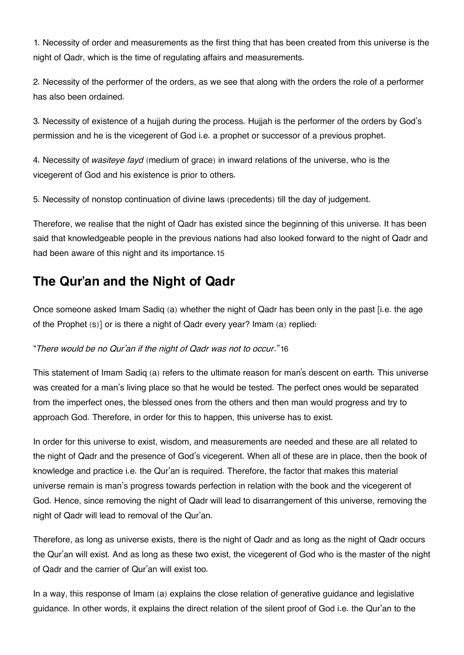1. Necessity of order and measurements as the first thing that has been created from this universe is the night of Qadr, which is the time of regulating affairs and measurements.

2. Necessity of the performer of the orders, as we see that along with the orders the role of a performer has also been ordained.

3. Necessity of existence of a hujjah during the process. Hujjah is the performer of the orders by God's permission and he is the vicegerent of God i.e. a prophet or successor of a previous prophet.

4. Necessity of *wasiteye fayd* (medium of grace) in inward relations of the universe, who is the vicegerent of God and his existence is prior to others.

5. Necessity of nonstop continuation of divine laws (precedents) till the day of judgement.

Therefore, we realise that the night of Qadr has existed since the beginning of this universe. It has been said that knowledgeable people in the previous nations had also looked forward to the night of Qadr and had been aware of this night and its importance.[15](#page--1-0)

## **[The Qur'an and the Night of Qadr](#page--1-0)**

Once someone asked Imam Sadiq (a) whether the night of Qadr has been only in the past [i.e. the age of the Prophet (s)] or is there a night of Qadr every year? Imam (a) replied:

### "*There would be no Qur'an if the night of Qadr was not to occur*."[16](#page--1-0)

This statement of Imam Sadiq (a) refers to the ultimate reason for man's descent on earth. This universe was created for a man's living place so that he would be tested. The perfect ones would be separated from the imperfect ones, the blessed ones from the others and then man would progress and try to approach God. Therefore, in order for this to happen, this universe has to exist.

In order for this universe to exist, wisdom, and measurements are needed and these are all related to the night of Qadr and the presence of God's vicegerent. When all of these are in place, then the book of knowledge and practice i.e. the Qur'an is required. Therefore, the factor that makes this material universe remain is man's progress towards perfection in relation with the book and the vicegerent of God. Hence, since removing the night of Qadr will lead to disarrangement of this universe, removing the night of Qadr will lead to removal of the Qur'an.

Therefore, as long as universe exists, there is the night of Qadr and as long as the night of Qadr occurs the Qur'an will exist. And as long as these two exist, the vicegerent of God who is the master of the night of Qadr and the carrier of Qur'an will exist too.

In a way, this response of Imam (a) explains the close relation of generative guidance and legislative guidance. In other words, it explains the direct relation of the silent proof of God i.e. the Qur'an to the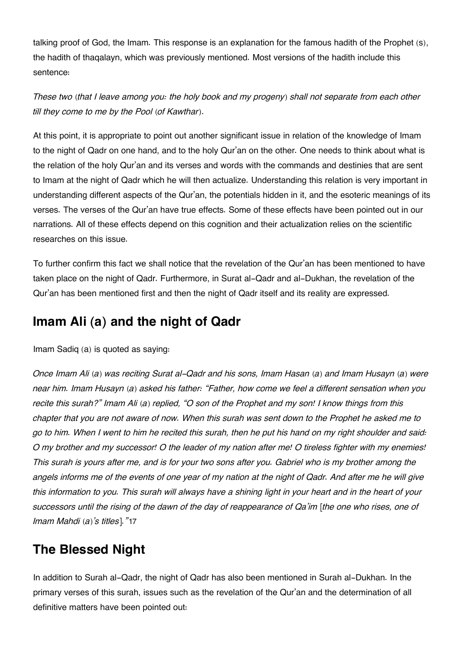talking proof of God, the Imam. This response is an explanation for the famous hadith of the Prophet (s), the hadith of thaqalayn, which was previously mentioned. Most versions of the hadith include this sentence:

These two (that I leave among you: the holy book and my progeny) shall not separate from each other *till they come to me by the Pool (of Kawthar)*.

At this point, it is appropriate to point out another significant issue in relation of the knowledge of Imam to the night of Qadr on one hand, and to the holy Qur'an on the other. One needs to think about what is the relation of the holy Qur'an and its verses and words with the commands and destinies that are sent to Imam at the night of Qadr which he will then actualize. Understanding this relation is very important in understanding different aspects of the Qur'an, the potentials hidden in it, and the esoteric meanings of its verses. The verses of the Qur'an have true effects. Some of these effects have been pointed out in our narrations. All of these effects depend on this cognition and their actualization relies on the scientific researches on this issue.

To further confirm this fact we shall notice that the revelation of the Qur'an has been mentioned to have taken place on the night of Qadr. Furthermore, in Surat al-Qadr and al-Dukhan, the revelation of the Qur'an has been mentioned first and then the night of Qadr itself and its reality are expressed.

## **[Imam Ali \(a\) and the night of Qadr](#page--1-0)**

Imam Sadiq (a) is quoted as saying:

*Once Imam Ali (a) was reciting Surat al-Qadr and his sons, Imam Hasan (a) and Imam Husayn (a) were near him. Imam Husayn (a) asked his father: "Father, how come we feel a different sensation when you* recite this surah?" Imam Ali (a) replied, "O son of the Prophet and my son! I know things from this chapter that you are not aware of now. When this surah was sent down to the Prophet he asked me to go to him. When I went to him he recited this surah, then he put his hand on my right shoulder and said: O my brother and my successor! O the leader of my nation after me! O tireless fighter with my enemies! This surah is yours after me, and is for your two sons after you. Gabriel who is my brother among the angels informs me of the events of one year of my nation at the night of Qadr. And after me he will give this information to you. This surah will always have a shining light in your heart and in the heart of your successors until the rising of the dawn of the day of reappearance of Qa'im [the one who rises, one of *Imam Mahdi (a)'s titles]."*[17](#page--1-0)

# **[The Blessed Night](#page--1-0)**

In addition to Surah al-Qadr, the night of Qadr has also been mentioned in Surah al-Dukhan. In the primary verses of this surah, issues such as the revelation of the Qur'an and the determination of all definitive matters have been pointed out: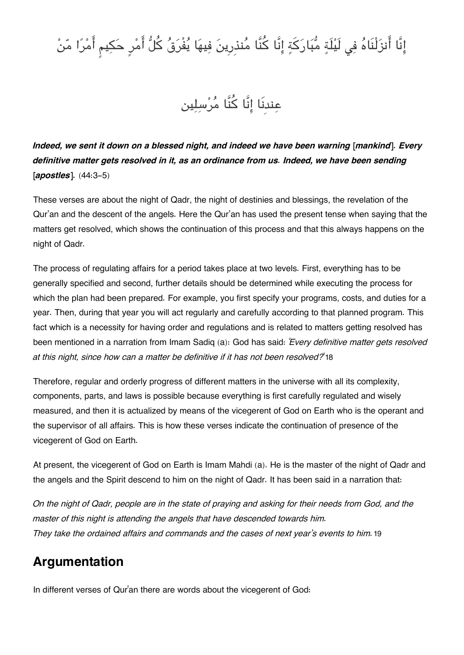# إِنَّا أَنزَلْنَاهُ فِي لَيْلَةٍ مُّبَارَكَةٍ إِنَّا كُنَّا مُنذِرِينَ فِيهَا يُفْرَقُ كُلُّ أَمْرٍ حَكِيمٍ أَمْرًا مّنْ

عِندنَا إِنَّا كُنَّا مُرْسِلِين

*Indeed, we sent it down on a blessed night, and indeed we have been warning [mankind]. Every definitive matter gets resolved in it, as an ordinance from us. Indeed, we have been sending [apostles].* (44:3-5)

These verses are about the night of Qadr, the night of destinies and blessings, the revelation of the Qur'an and the descent of the angels. Here the Qur'an has used the present tense when saying that the matters get resolved, which shows the continuation of this process and that this always happens on the night of Qadr.

The process of regulating affairs for a period takes place at two levels. First, everything has to be generally specified and second, further details should be determined while executing the process for which the plan had been prepared. For example, you first specify your programs, costs, and duties for a year. Then, during that year you will act regularly and carefully according to that planned program. This fact which is a necessity for having order and regulations and is related to matters getting resolved has been mentioned in a narration from Imam Sadiq (a): God has said: *'Every definitive matter gets resolved at this night, since how can a matter be definitive if it has not been resolved?*'[18](#page--1-0)

Therefore, regular and orderly progress of different matters in the universe with all its complexity, components, parts, and laws is possible because everything is first carefully regulated and wisely measured, and then it is actualized by means of the vicegerent of God on Earth who is the operant and the supervisor of all affairs. This is how these verses indicate the continuation of presence of the vicegerent of God on Earth.

At present, the vicegerent of God on Earth is Imam Mahdi (a). He is the master of the night of Qadr and the angels and the Spirit descend to him on the night of Qadr. It has been said in a narration that:

On the night of Qadr, people are in the state of praying and asking for their needs from God, and the *master of this night is attending the angels that have descended towards him. They take the ordained affairs and commands and the cases of next year's events to him.*[19](#page--1-0)

# **[Argumentation](#page--1-0)**

In different verses of Qur'an there are words about the vicegerent of God: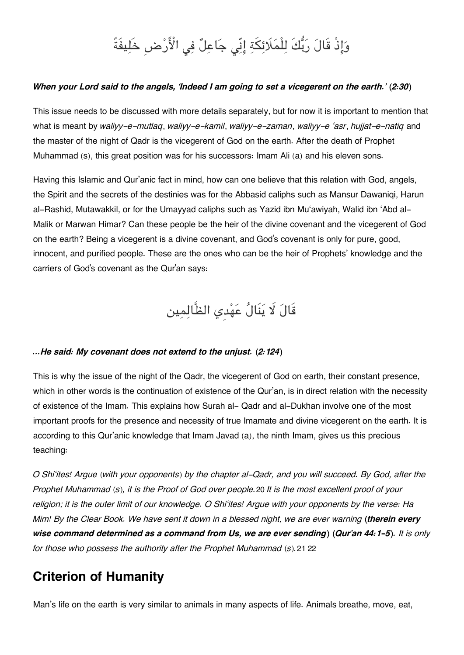# وَإِذْ قَالَ رَبُّكَ لِلْمَلَائِكَةِ إِنِّي جَاعِلٌ فِي الْأَرْضِ خَلِيفَةً

### When your Lord said to the angels, 'Indeed I am going to set a vicegerent on the earth.' (2:30)

This issue needs to be discussed with more details separately, but for now it is important to mention that what is meant by *waliyy-e-mutlaq*, *waliyy-e-kamil*, *waliyy-e-zaman*, *waliyy-e 'asr*, *hujjat-e-natiq* and the master of the night of Qadr is the vicegerent of God on the earth. After the death of Prophet Muhammad (s), this great position was for his successors: Imam Ali (a) and his eleven sons.

Having this Islamic and Qur'anic fact in mind, how can one believe that this relation with God, angels, the Spirit and the secrets of the destinies was for the Abbasid caliphs such as Mansur Dawaniqi, Harun al-Rashid, Mutawakkil, or for the Umayyad caliphs such as Yazid ibn Mu'awiyah, Walid ibn 'Abd al-Malik or Marwan Himar? Can these people be the heir of the divine covenant and the vicegerent of God on the earth? Being a vicegerent is a divine covenant, and God's covenant is only for pure, good, innocent, and purified people. These are the ones who can be the heir of Prophets' knowledge and the carriers of God's covenant as the Qur'an says:

قَالَ لَا يَنَالُ عَهْدِي الظَّالِمِين

#### *…He said: My covenant does not extend to the unjust. (2:124)*

This is why the issue of the night of the Qadr, the vicegerent of God on earth, their constant presence, which in other words is the continuation of existence of the Qur'an, is in direct relation with the necessity of existence of the Imam. This explains how Surah al- Qadr and al-Dukhan involve one of the most important proofs for the presence and necessity of true Imamate and divine vicegerent on the earth. It is according to this Qur'anic knowledge that Imam Javad (a), the ninth Imam, gives us this precious teaching:

O Shi'ites! Arque (with your opponents) by the chapter al-Qadr, and you will succeed. By God, after the Prophet Muhammad (s), it is the Proof of God over people. [20](#page--1-0) It is the most excellent proof of your religion; it is the outer limit of our knowledge. O Shi'ites! Argue with your opponents by the verse: Ha Mim! By the Clear Book. We have sent it down in a blessed night, we are ever warning (therein every *wise command determined as a command from Us, we are ever sending) (Qur'an 44:1-5). It is only for those who possess the authority after the Prophet Muhammad (s).*[21](#page--1-0) [22](#page--1-0)

## **[Criterion of Humanity](#page--1-0)**

Man's life on the earth is very similar to animals in many aspects of life. Animals breathe, move, eat,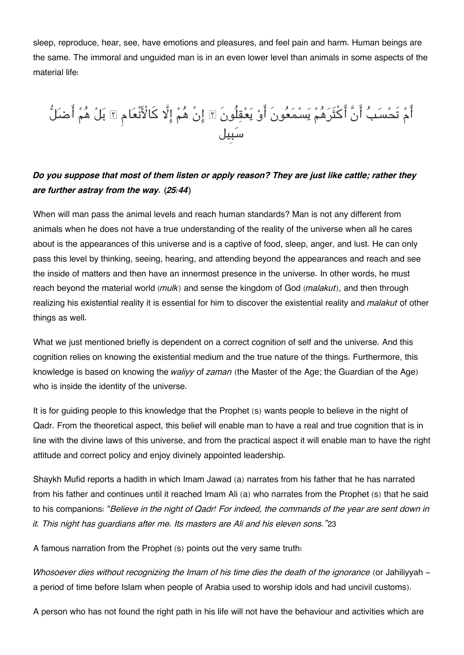sleep, reproduce, hear, see, have emotions and pleasures, and feel pain and harm. Human beings are the same. The immoral and unguided man is in an even lower level than animals in some aspects of the material life:

ام تَحْسَبُ أَنْ اكْثَرَهُمْ يَسْمَعُونَ أَوْ يَعْقِلُونَ ۞ إِنْ هُمْ إِلا كَالأَنْعَامِ ۞ بَلْ هُمْ أَضْلَلَّ سبِيل

## *Do you suppose that most of them listen or apply reason? They are just like cattle; rather they are further astray from the way. (25:44)*

When will man pass the animal levels and reach human standards? Man is not any different from animals when he does not have a true understanding of the reality of the universe when all he cares about is the appearances of this universe and is a captive of food, sleep, anger, and lust. He can only pass this level by thinking, seeing, hearing, and attending beyond the appearances and reach and see the inside of matters and then have an innermost presence in the universe. In other words, he must reach beyond the material world (*mulk*) and sense the kingdom of God (*malakut*), and then through realizing his existential reality it is essential for him to discover the existential reality and *malakut* of other things as well.

What we just mentioned briefly is dependent on a correct cognition of self and the universe. And this cognition relies on knowing the existential medium and the true nature of the things. Furthermore, this knowledge is based on knowing the *waliyy* of *zaman* (the Master of the Age; the Guardian of the Age) who is inside the identity of the universe.

It is for guiding people to this knowledge that the Prophet (s) wants people to believe in the night of Qadr. From the theoretical aspect, this belief will enable man to have a real and true cognition that is in line with the divine laws of this universe, and from the practical aspect it will enable man to have the right attitude and correct policy and enjoy divinely appointed leadership.

Shaykh Mufid reports a hadith in which Imam Jawad (a) narrates from his father that he has narrated from his father and continues until it reached Imam Ali (a) who narrates from the Prophet (s) that he said to his companions: "*Believe in the night of Qadr! For indeed, the commands of the year are sent down in it. This night has guardians after me. Its masters are Ali and his eleven sons."*[23](#page--1-0)

A famous narration from the Prophet (s) points out the very same truth:

*Whosoever dies without recognizing the Imam of his time dies the death of the ignorance* (or Jahiliyyah a period of time before Islam when people of Arabia used to worship idols and had uncivil customs).

A person who has not found the right path in his life will not have the behaviour and activities which are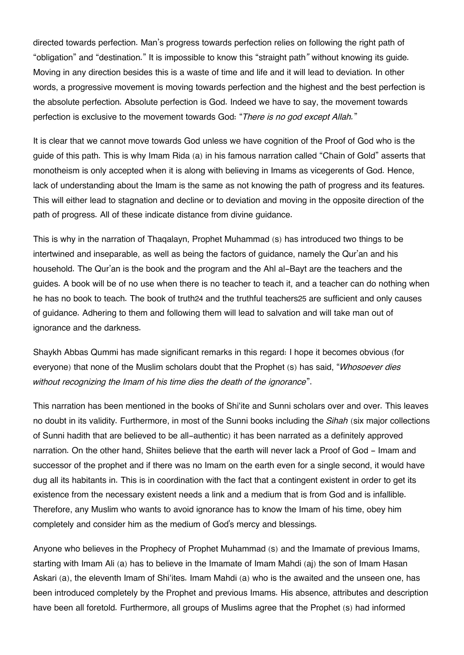directed towards perfection. Man's progress towards perfection relies on following the right path of "obligation" and "destination." It is impossible to know this "straight path*"* without knowing its guide. Moving in any direction besides this is a waste of time and life and it will lead to deviation. In other words, a progressive movement is moving towards perfection and the highest and the best perfection is the absolute perfection. Absolute perfection is God. Indeed we have to say, the movement towards perfection is exclusive to the movement towards God: "*There is no god except Allah.*"

It is clear that we cannot move towards God unless we have cognition of the Proof of God who is the guide of this path. This is why Imam Rida (a) in his famous narration called "Chain of Gold" asserts that monotheism is only accepted when it is along with believing in Imams as vicegerents of God. Hence, lack of understanding about the Imam is the same as not knowing the path of progress and its features. This will either lead to stagnation and decline or to deviation and moving in the opposite direction of the path of progress. All of these indicate distance from divine guidance.

This is why in the narration of Thaqalayn, Prophet Muhammad (s) has introduced two things to be intertwined and inseparable, as well as being the factors of guidance, namely the Qur'an and his household. The Qur'an is the book and the program and the Ahl al-Bayt are the teachers and the guides. A book will be of no use when there is no teacher to teach it, and a teacher can do nothing when he has no book to teach. The book of truth[24](#page--1-0) and the truthful teachers[25](#page--1-0) are sufficient and only causes of guidance. Adhering to them and following them will lead to salvation and will take man out of ignorance and the darkness.

Shaykh Abbas Qummi has made significant remarks in this regard: I hope it becomes obvious (for everyone) that none of the Muslim scholars doubt that the Prophet (s) has said, "*Whosoever dies without recognizing the Imam of his time dies the death of the ignorance*".

This narration has been mentioned in the books of Shi'ite and Sunni scholars over and over. This leaves no doubt in its validity. Furthermore, in most of the Sunni books including the *Sihah* (six major collections of Sunni hadith that are believed to be all-authentic) it has been narrated as a definitely approved narration. On the other hand, Shiites believe that the earth will never lack a Proof of God - Imam and successor of the prophet and if there was no Imam on the earth even for a single second, it would have dug all its habitants in. This is in coordination with the fact that a contingent existent in order to get its existence from the necessary existent needs a link and a medium that is from God and is infallible. Therefore, any Muslim who wants to avoid ignorance has to know the Imam of his time, obey him completely and consider him as the medium of God's mercy and blessings.

Anyone who believes in the Prophecy of Prophet Muhammad (s) and the Imamate of previous Imams, starting with Imam Ali (a) has to believe in the Imamate of Imam Mahdi (aj) the son of Imam Hasan Askari (a), the eleventh Imam of Shi'ites. Imam Mahdi (a) who is the awaited and the unseen one, has been introduced completely by the Prophet and previous Imams. His absence, attributes and description have been all foretold. Furthermore, all groups of Muslims agree that the Prophet (s) had informed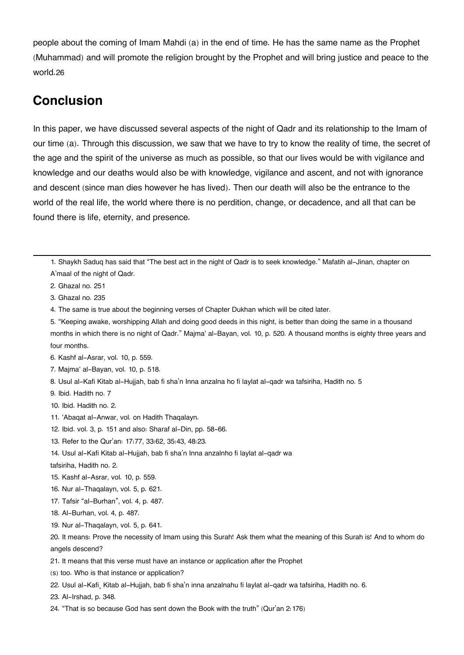people about the coming of Imam Mahdi (a) in the end of time. He has the same name as the Prophet (Muhammad) and will promote the religion brought by the Prophet and will bring justice and peace to the world.[26](#page--1-0)

## **[Conclusion](#page--1-0)**

In this paper, we have discussed several aspects of the night of Qadr and its relationship to the Imam of our time (a). Through this discussion, we saw that we have to try to know the reality of time, the secret of the age and the spirit of the universe as much as possible, so that our lives would be with vigilance and knowledge and our deaths would also be with knowledge, vigilance and ascent, and not with ignorance and descent (since man dies however he has lived). Then our death will also be the entrance to the world of the real life, the world where there is no perdition, change, or decadence, and all that can be found there is life, eternity, and presence.

[1.](#page--1-0) Shaykh Saduq has said that "The best act in the night of Qadr is to seek knowledge." Mafatih al-Jinan, chapter on A'maal of the night of Qadr.

[2.](#page-2-0) Ghazal no. 251

[3.](#page-3-0) Ghazal no. 235

[4.](#page--1-0) The same is true about the beginning verses of Chapter Dukhan which will be cited later.

[8.](#page--1-0) Usul al-Kafi Kitab al-Hujjah, bab fi sha'n Inna anzalna ho fi laylat al-qadr wa tafsiriha, Hadith no. 5

[9.](#page--1-0) Ibid. Hadith no. 7

[10.](#page--1-0) Ibid. Hadith no. 2.

- [11.](#page--1-0) 'Abaqat al-Anwar, vol. on Hadith Thaqalayn.
- [12.](#page--1-0) Ibid. vol. 3, p. 151 and also: Sharaf al-Din, pp. 58-66.
- [13.](#page--1-0) Refer to the Qur'an: 17:77, 33:62, 35:43, 48:23.
- [14.](#page--1-0) Usul al-Kafi Kitab al-Hujjah, bab fi sha'n Inna anzalnho fi laylat al-qadr wa

tafsiriha, Hadith no. 2.

- [15.](#page--1-0) Kashf al-Asrar, vol. 10, p. 559.
- [16.](#page--1-0) Nur al-Thaqalayn, vol. 5, p. 621.
- [17.](#page--1-0) Tafsir "al-Burhan", vol. 4, p. 487.
- [18.](#page--1-0) Al-Burhan, vol. 4, p. 487.
- [19.](#page--1-0) Nur al-Thaqalayn, vol. 5, p. 641.

[20.](#page--1-0) It means: Prove the necessity of Imam using this Surah! Ask them what the meaning of this Surah is! And to whom do angels descend?

- [21.](#page--1-0) It means that this verse must have an instance or application after the Prophet
- (s) too. Who is that instance or application?
- [22.](#page--1-0) Usul al-Kafi¸ Kitab al-Hujjah, bab fi sha'n inna anzalnahu fi laylat al-qadr wa tafsiriha, Hadith no. 6.

[23.](#page--1-0) Al-Irshad, p. 348.

[24.](#page--1-0) "That is so because God has sent down the Book with the truth" (Qur'an 2:176)

[<sup>5.</sup>](#page--1-0) "Keeping awake, worshipping Allah and doing good deeds in this night, is better than doing the same in a thousand months in which there is no night of Qadr." Majma' al-Bayan, vol. 10, p. 520. A thousand months is eighty three years and four months.

[<sup>6.</sup>](#page--1-0) Kashf al-Asrar, vol. 10, p. 559.

[<sup>7.</sup>](#page--1-0) Majma' al-Bayan, vol. 10, p. 518.